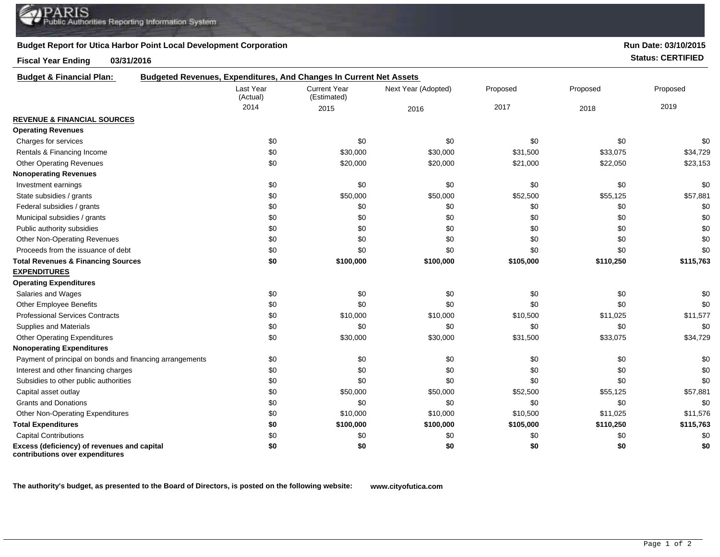## **Budget Report for Utica Harbor Point Local Development Corporation**

## **Fiscal Year Ending 03/31/2016 Status: CERTIFIED**

**Run Date: 03/10/2015**

| <b>Budget &amp; Financial Plan:</b>                                            | <b>Budgeted Revenues, Expenditures, And Changes In Current Net Assets</b> |                                    |                     |           |           |           |
|--------------------------------------------------------------------------------|---------------------------------------------------------------------------|------------------------------------|---------------------|-----------|-----------|-----------|
|                                                                                | Last Year<br>(Actual)                                                     | <b>Current Year</b><br>(Estimated) | Next Year (Adopted) | Proposed  | Proposed  | Proposed  |
|                                                                                | 2014                                                                      | 2015                               | 2016                | 2017      | 2018      | 2019      |
| <b>REVENUE &amp; FINANCIAL SOURCES</b>                                         |                                                                           |                                    |                     |           |           |           |
| <b>Operating Revenues</b>                                                      |                                                                           |                                    |                     |           |           |           |
| Charges for services                                                           | \$0                                                                       | \$0                                | \$0                 | \$0       | \$0       | \$0       |
| Rentals & Financing Income                                                     | \$0                                                                       | \$30,000                           | \$30,000            | \$31,500  | \$33,075  | \$34,729  |
| <b>Other Operating Revenues</b>                                                | \$0                                                                       | \$20,000                           | \$20,000            | \$21,000  | \$22,050  | \$23,153  |
| <b>Nonoperating Revenues</b>                                                   |                                                                           |                                    |                     |           |           |           |
| Investment earnings                                                            | \$0                                                                       | \$0                                | \$0                 | \$0       | \$0       | \$0       |
| State subsidies / grants                                                       | \$0                                                                       | \$50,000                           | \$50,000            | \$52,500  | \$55,125  | \$57,881  |
| Federal subsidies / grants                                                     | \$0                                                                       | \$0                                | \$0                 | \$0       | \$0       | \$0       |
| Municipal subsidies / grants                                                   | \$0                                                                       | \$0                                | \$0                 | \$0       | \$0       | \$0       |
| Public authority subsidies                                                     | \$0                                                                       | \$0                                | \$0                 | \$0       | \$0       | \$0       |
| <b>Other Non-Operating Revenues</b>                                            | \$0                                                                       | \$0                                | \$0                 | \$0       | \$0       | \$0       |
| Proceeds from the issuance of debt                                             | \$0                                                                       | \$0                                | \$0                 | \$0       | \$0       | \$0       |
| <b>Total Revenues &amp; Financing Sources</b>                                  | \$0                                                                       | \$100,000                          | \$100,000           | \$105,000 | \$110,250 | \$115,763 |
| <b>EXPENDITURES</b>                                                            |                                                                           |                                    |                     |           |           |           |
| <b>Operating Expenditures</b>                                                  |                                                                           |                                    |                     |           |           |           |
| Salaries and Wages                                                             | \$0                                                                       | \$0                                | \$0                 | \$0       | \$0       | \$0       |
| Other Employee Benefits                                                        | \$0                                                                       | \$0                                | \$0                 | \$0       | \$0       | \$0       |
| <b>Professional Services Contracts</b>                                         | \$0                                                                       | \$10,000                           | \$10,000            | \$10,500  | \$11,025  | \$11,577  |
| Supplies and Materials                                                         | \$0                                                                       | \$0                                | \$0                 | \$0       | \$0       | \$0       |
| <b>Other Operating Expenditures</b>                                            | \$0                                                                       | \$30,000                           | \$30,000            | \$31,500  | \$33,075  | \$34,729  |
| <b>Nonoperating Expenditures</b>                                               |                                                                           |                                    |                     |           |           |           |
| Payment of principal on bonds and financing arrangements                       | \$0                                                                       | \$0                                | \$0                 | \$0       | \$0       | \$0       |
| Interest and other financing charges                                           | \$0                                                                       | \$0                                | \$0                 | \$0       | \$0       | \$0       |
| Subsidies to other public authorities                                          | \$0                                                                       | \$0                                | \$0                 | \$0       | \$0       | \$0       |
| Capital asset outlay                                                           | \$0                                                                       | \$50,000                           | \$50,000            | \$52,500  | \$55,125  | \$57,881  |
| <b>Grants and Donations</b>                                                    | \$0                                                                       | \$0                                | \$0                 | \$0       | \$0       | \$0       |
| Other Non-Operating Expenditures                                               | \$0                                                                       | \$10,000                           | \$10,000            | \$10,500  | \$11,025  | \$11,576  |
| <b>Total Expenditures</b>                                                      | \$0                                                                       | \$100,000                          | \$100,000           | \$105,000 | \$110,250 | \$115,763 |
| <b>Capital Contributions</b>                                                   | \$0                                                                       | \$0                                | \$0                 | \$0       | \$0       | \$0       |
| Excess (deficiency) of revenues and capital<br>contributions over expenditures | \$0                                                                       | \$0                                | \$0                 | \$0       | \$0       | \$0       |

**The authority's budget, as presented to the Board of Directors, is posted on the following website: www.cityofutica.com**